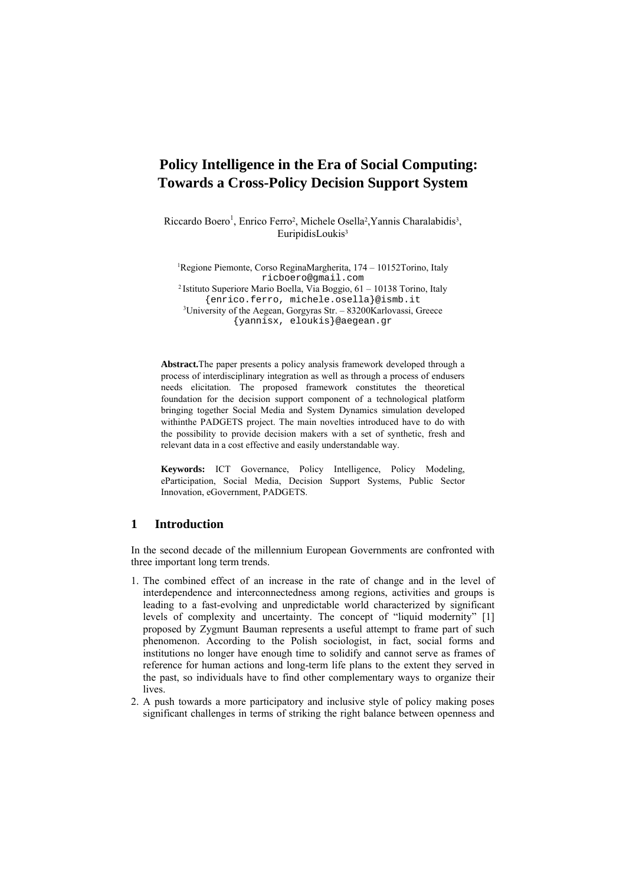Riccardo Boero<sup>1</sup>, Enrico Ferro<sup>2</sup>, Michele Osella<sup>2</sup>, Yannis Charalabidis<sup>3</sup>, EuripidisLoukis<sup>3</sup>

1 Regione Piemonte, Corso ReginaMargherita, 174 – 10152Torino, Italy ricboero@gmail.com

<sup>2</sup> Istituto Superiore Mario Boella, Via Boggio,  $61 - 10138$  Torino, Italy {enrico.ferro, michele.osella}@ismb.it 3 University of the Aegean, Gorgyras Str. – 83200Karlovassi, Greece {yannisx, eloukis}@aegean.gr

**Abstract.**The paper presents a policy analysis framework developed through a process of interdisciplinary integration as well as through a process of endusers needs elicitation. The proposed framework constitutes the theoretical foundation for the decision support component of a technological platform bringing together Social Media and System Dynamics simulation developed withinthe PADGETS project. The main novelties introduced have to do with the possibility to provide decision makers with a set of synthetic, fresh and relevant data in a cost effective and easily understandable way.

**Keywords:** ICT Governance, Policy Intelligence, Policy Modeling, eParticipation, Social Media, Decision Support Systems, Public Sector Innovation, eGovernment, PADGETS.

# **1 Introduction**

In the second decade of the millennium European Governments are confronted with three important long term trends.

- 1. The combined effect of an increase in the rate of change and in the level of interdependence and interconnectedness among regions, activities and groups is leading to a fast-evolving and unpredictable world characterized by significant levels of complexity and uncertainty. The concept of "liquid modernity" [\[1](#page-10-0)] proposed by Zygmunt Bauman represents a useful attempt to frame part of such phenomenon. According to the Polish sociologist, in fact, social forms and institutions no longer have enough time to solidify and cannot serve as frames of reference for human actions and long-term life plans to the extent they served in the past, so individuals have to find other complementary ways to organize their lives.
- 2. A push towards a more participatory and inclusive style of policy making poses significant challenges in terms of striking the right balance between openness and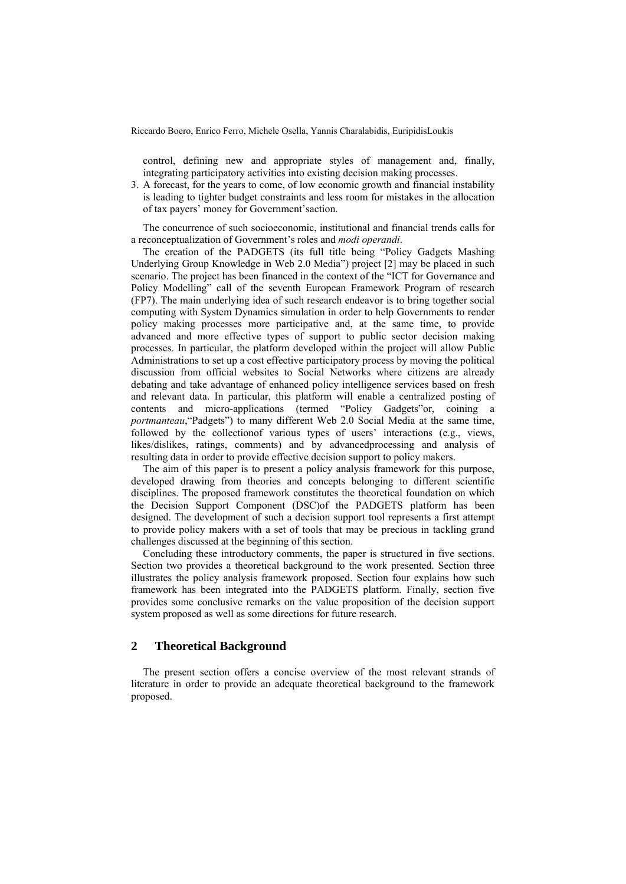control, defining new and appropriate styles of management and, finally, integrating participatory activities into existing decision making processes.

3. A forecast, for the years to come, of low economic growth and financial instability is leading to tighter budget constraints and less room for mistakes in the allocation of tax payers' money for Government'saction.

The concurrence of such socioeconomic, institutional and financial trends calls for a reconceptualization of Government's roles and *modi operandi*.

The creation of the PADGETS (its full title being "Policy Gadgets Mashing Underlying Group Knowledge in Web 2.0 Media") project [[2\]](#page-10-1) may be placed in such scenario. The project has been financed in the context of the "ICT for Governance and Policy Modelling" call of the seventh European Framework Program of research (FP7). The main underlying idea of such research endeavor is to bring together social computing with System Dynamics simulation in order to help Governments to render policy making processes more participative and, at the same time, to provide advanced and more effective types of support to public sector decision making processes. In particular, the platform developed within the project will allow Public Administrations to set up a cost effective participatory process by moving the political discussion from official websites to Social Networks where citizens are already debating and take advantage of enhanced policy intelligence services based on fresh and relevant data. In particular, this platform will enable a centralized posting of contents and micro-applications (termed "Policy Gadgets"or, coining a *portmanteau*,"Padgets") to many different Web 2.0 Social Media at the same time, followed by the collectionof various types of users' interactions (e.g., views, likes/dislikes, ratings, comments) and by advancedprocessing and analysis of resulting data in order to provide effective decision support to policy makers.

The aim of this paper is to present a policy analysis framework for this purpose, developed drawing from theories and concepts belonging to different scientific disciplines. The proposed framework constitutes the theoretical foundation on which the Decision Support Component (DSC)of the PADGETS platform has been designed. The development of such a decision support tool represents a first attempt to provide policy makers with a set of tools that may be precious in tackling grand challenges discussed at the beginning of this section.

Concluding these introductory comments, the paper is structured in five sections. Section two provides a theoretical background to the work presented. Section three illustrates the policy analysis framework proposed. Section four explains how such framework has been integrated into the PADGETS platform. Finally, section five provides some conclusive remarks on the value proposition of the decision support system proposed as well as some directions for future research.

### **2 Theoretical Background**

The present section offers a concise overview of the most relevant strands of literature in order to provide an adequate theoretical background to the framework proposed.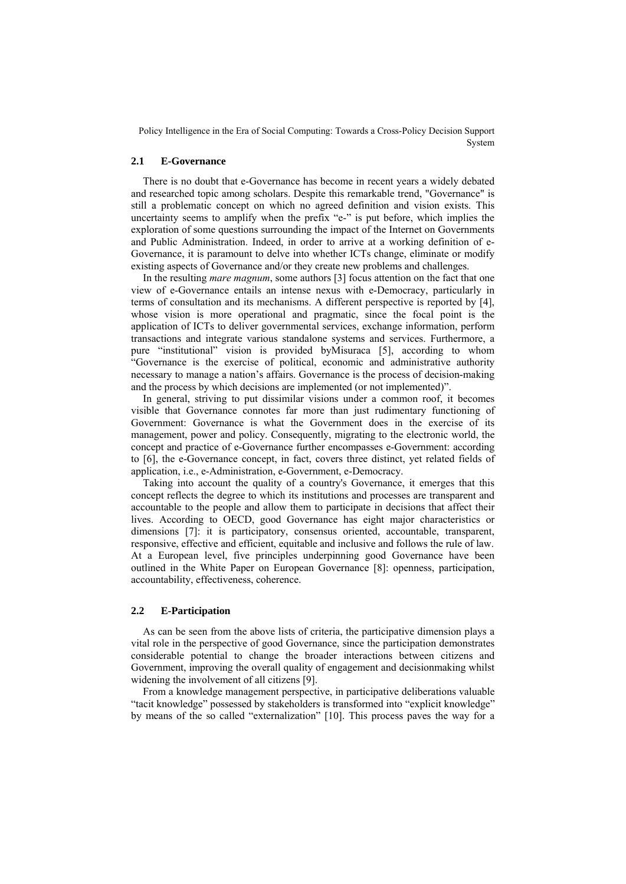#### **2.1 E-Governance**

There is no doubt that e-Governance has become in recent years a widely debated and researched topic among scholars. Despite this remarkable trend, "Governance" is still a problematic concept on which no agreed definition and vision exists. This uncertainty seems to amplify when the prefix "e-" is put before, which implies the exploration of some questions surrounding the impact of the Internet on Governments and Public Administration. Indeed, in order to arrive at a working definition of e-Governance, it is paramount to delve into whether ICTs change, eliminate or modify existing aspects of Governance and/or they create new problems and challenges.

In the resulting *mare magnum*, some authors [[3\]](#page-10-2) focus attention on the fact that one view of e-Governance entails an intense nexus with e-Democracy, particularly in terms of consultation and its mechanisms. A different perspective is reported by [[4\]](#page-11-0), whose vision is more operational and pragmatic, since the focal point is the application of ICTs to deliver governmental services, exchange information, perform transactions and integrate various standalone systems and services. Furthermore, a pure "institutional" vision is provided byMisuraca [[5\]](#page-11-1), according to whom "Governance is the exercise of political, economic and administrative authority necessary to manage a nation's affairs. Governance is the process of decision-making and the process by which decisions are implemented (or not implemented)".

In general, striving to put dissimilar visions under a common roof, it becomes visible that Governance connotes far more than just rudimentary functioning of Government: Governance is what the Government does in the exercise of its management, power and policy. Consequently, migrating to the electronic world, the concept and practice of e-Governance further encompasses e-Government: according to [[6\]](#page-11-2), the e-Governance concept, in fact, covers three distinct, yet related fields of application, i.e., e-Administration, e-Government, e-Democracy.

Taking into account the quality of a country's Governance, it emerges that this concept reflects the degree to which its institutions and processes are transparent and accountable to the people and allow them to participate in decisions that affect their lives. According to OECD, good Governance has eight major characteristics or dimensions [[7\]](#page-11-3): it is participatory, consensus oriented, accountable, transparent, responsive, effective and efficient, equitable and inclusive and follows the rule of law. At a European level, five principles underpinning good Governance have been outlined in the White Paper on European Governance [[8\]](#page-11-4): openness, participation, accountability, effectiveness, coherence.

#### **2.2 E-Participation**

As can be seen from the above lists of criteria, the participative dimension plays a vital role in the perspective of good Governance, since the participation demonstrates considerable potential to change the broader interactions between citizens and Government, improving the overall quality of engagement and decisionmaking whilst widening the involvement of all citizens [\[9](#page-11-5)].

From a knowledge management perspective, in participative deliberations valuable "tacit knowledge" possessed by stakeholders is transformed into "explicit knowledge" by means of the so called "externalization" [\[10](#page-11-6)]. This process paves the way for a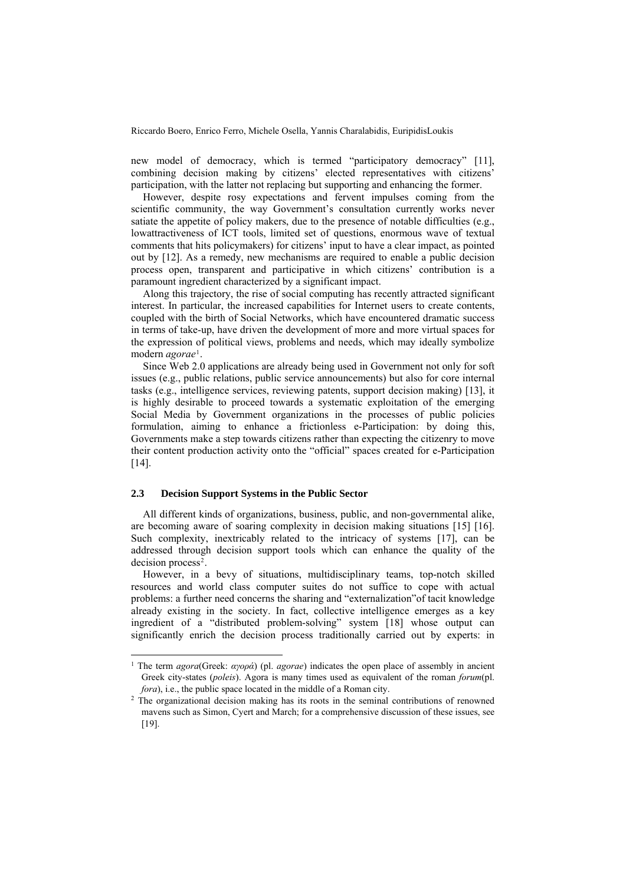new model of democracy, which is termed "participatory democracy" [[11\]](#page-11-7), combining decision making by citizens' elected representatives with citizens' participation, with the latter not replacing but supporting and enhancing the former.

However, despite rosy expectations and fervent impulses coming from the scientific community, the way Government's consultation currently works never satiate the appetite of policy makers, due to the presence of notable difficulties (e.g., lowattractiveness of ICT tools, limited set of questions, enormous wave of textual comments that hits policymakers) for citizens' input to have a clear impact, as pointed out by [[12\]](#page-11-8). As a remedy, new mechanisms are required to enable a public decision process open, transparent and participative in which citizens' contribution is a paramount ingredient characterized by a significant impact.

Along this trajectory, the rise of social computing has recently attracted significant interest. In particular, the increased capabilities for Internet users to create contents, coupled with the birth of Social Networks, which have encountered dramatic success in terms of take-up, have driven the development of more and more virtual spaces for the expression of political views, problems and needs, which may ideally symbolize modern *agorae*[1](#page-3-0).

Since Web 2.0 applications are already being used in Government not only for soft issues (e.g., public relations, public service announcements) but also for core internal tasks (e.g., intelligence services, reviewing patents, support decision making) [[13\]](#page-11-9), it is highly desirable to proceed towards a systematic exploitation of the emerging Social Media by Government organizations in the processes of public policies formulation, aiming to enhance a frictionless e-Participation: by doing this, Governments make a step towards citizens rather than expecting the citizenry to move their content production activity onto the "official" spaces created for e-Participation [\[14](#page-11-10)].

### **2.3 Decision Support Systems in the Public Sector**

l

All different kinds of organizations, business, public, and non-governmental alike, are becoming aware of soaring complexity in decision making situations [\[15](#page-11-11)] [[16\]](#page-11-12). Such complexity, inextricably related to the intricacy of systems [\[17](#page-11-13)], can be addressed through decision support tools which can enhance the quality of the decision process<sup>[2](#page-3-1)</sup>.

However, in a bevy of situations, multidisciplinary teams, top-notch skilled resources and world class computer suites do not suffice to cope with actual problems: a further need concerns the sharing and "externalization"of tacit knowledge already existing in the society. In fact, collective intelligence emerges as a key ingredient of a "distributed problem-solving" system [\[18](#page-11-14)] whose output can significantly enrich the decision process traditionally carried out by experts: in

<span id="page-3-0"></span><sup>1</sup> The term *agora*(Greek: *αγορά*) (pl. *agorae*) indicates the open place of assembly in ancient Greek city-states (*poleis*). Agora is many times used as equivalent of the roman *forum*(pl.

<span id="page-3-1"></span>*fora*), i.e., the public space located in the middle of a Roman city.<br><sup>2</sup> The organizational decision making has its roots in the seminal contributions of renowned mavens such as Simon, Cyert and March; for a comprehensive discussion of these issues, see [19].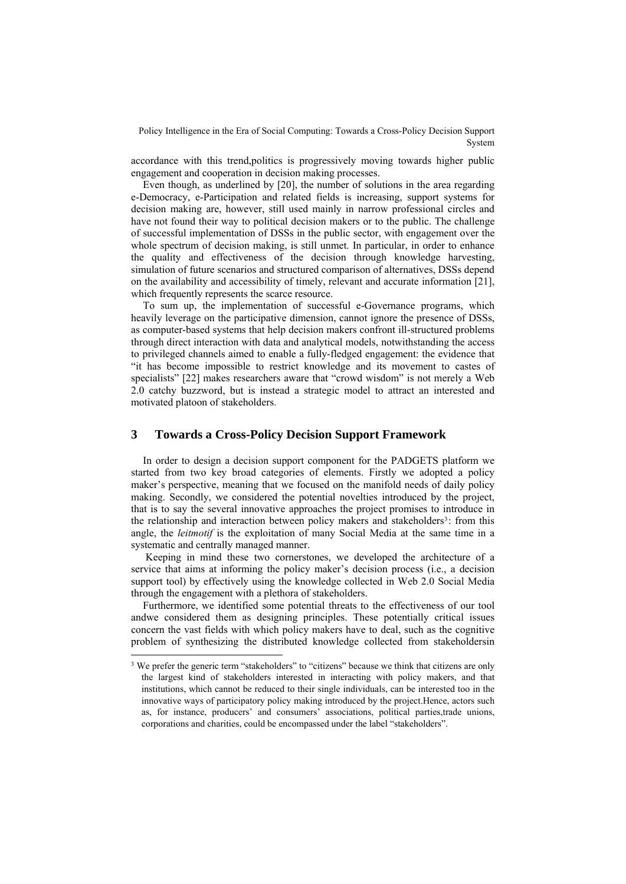accordance with this trend,politics is progressively moving towards higher public engagement and cooperation in decision making processes.

Even though, as underlined by [\[20](#page-11-15)], the number of solutions in the area regarding e-Democracy, e-Participation and related fields is increasing, support systems for decision making are, however, still used mainly in narrow professional circles and have not found their way to political decision makers or to the public. The challenge of successful implementation of DSSs in the public sector, with engagement over the whole spectrum of decision making, is still unmet. In particular, in order to enhance the quality and effectiveness of the decision through knowledge harvesting, simulation of future scenarios and structured comparison of alternatives, DSSs depend on the availability and accessibility of timely, relevant and accurate information [[21\]](#page-11-16), which frequently represents the scarce resource.

To sum up, the implementation of successful e-Governance programs, which heavily leverage on the participative dimension, cannot ignore the presence of DSSs, as computer-based systems that help decision makers confront ill-structured problems through direct interaction with data and analytical models, notwithstanding the access to privileged channels aimed to enable a fully-fledged engagement: the evidence that "it has become impossible to restrict knowledge and its movement to castes of specialists" [[22\]](#page-11-17) makes researchers aware that "crowd wisdom" is not merely a Web 2.0 catchy buzzword, but is instead a strategic model to attract an interested and motivated platoon of stakeholders.

# **3 Towards a Cross-Policy Decision Support Framework**

In order to design a decision support component for the PADGETS platform we sta rted from two key broad categories of elements. Firstly we adopted a policy maker's perspective, meaning that we focused on the manifold needs of daily policy making. Secondly, we considered the potential novelties introduced by the project, that is to say the several innovative approaches the project promises to introduce in the relationship and interaction between policy makers and stakeholders<sup>[3](#page-4-0)</sup>: from this angle, the *leitmotif* is the exploitation of many Social Media at the same time in a systematic and centrally managed manner.

se rvice that aims at informing the policy maker's decision process (i.e., a decision Keeping in mind these two cornerstones, we developed the architecture of a support tool) by effectively using the knowledge collected in Web 2.0 Social Media through the engagement with a plethora of stakeholders.

an dwe considered them as designing principles. These potentially critical issues problem of synthesizing the distributed knowledge collected from stakeholdersin Furthermore, we identified some potential threats to the effectiveness of our tool concern the vast fields with which policy makers have to deal, such as the cognitive

l

<span id="page-4-0"></span> $3$  We prefer the generic term "stakeholders" to "citizens" because we think that citizens are only the largest kind of stakeholders interested in interacting with policy makers, and that institutions, which cannot be reduced to their single individuals, can be interested too in the innovative ways of participatory policy making introduced by the project.Hence, actors such as, for instance, producers' and consumers' associations, political parties,trade unions, corporations and charities, could be encompassed under the label "stakeholders".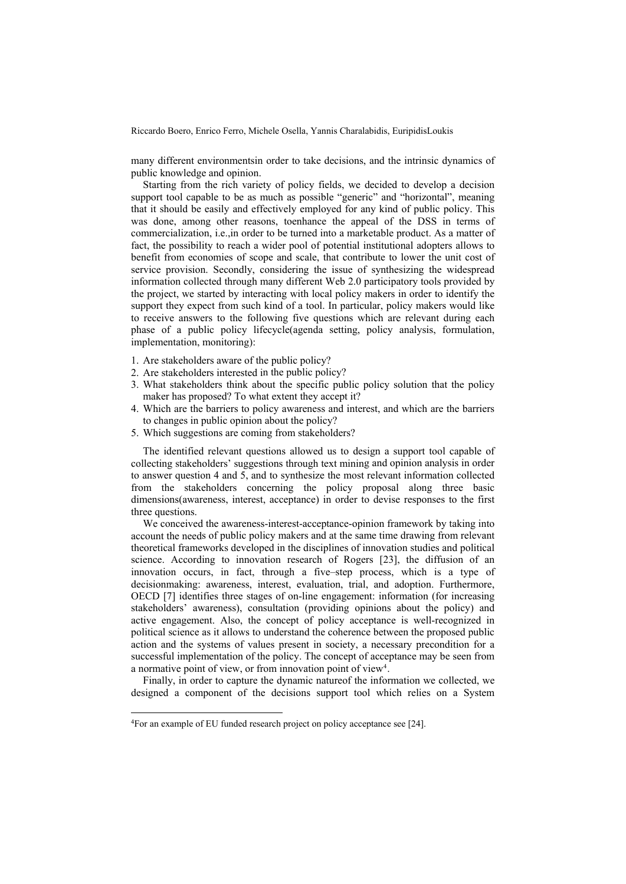many different environmentsin order to take decisions, and the intrinsic dynamics of public knowledge and opinion.

Starting from the rich variety of policy fields, we decided to develop a decision support tool capable to be as much as possible "generic" and "horizontal", meaning tha t it should be easily and effectively employed for any kind of public policy. This was done, among other reasons, toenhance the appeal of the DSS in terms of commercialization, i.e.,in order to be turned into a marketable product. As a matter of fact, the possibility to reach a wider pool of potential institutional adopters allows to benefit from economies of scope and scale, that contribute to lower the unit cost of service provision. Secondly, considering the issue of synthesizing the widespread information collected through many different Web 2.0 participatory tools provided by the project, we started by interacting with local policy makers in order to identify the support they expect from such kind of a tool. In particular, policy makers would like to receive answers to the following five questions which are relevant during each phase of a public policy lifecycle(agenda setting, policy analysis, formulation, implementation, monitoring):

- 1. Are stakeholders aware of the public policy?
- 2. Are stakeholders interested in the public policy?
- 3. What stakeholders think about the specific public policy solution that the policy maker has proposed? To what extent they accept it?
- 4. Which are the barriers to policy awareness and interest, and which are the barriers to changes in public opinion about the policy?
- 5. Which suggestions are coming from stakeholders?

The identified relevant questions allowed us to design a support tool capable of collecting stakeholders' suggestions through text mining and opinion analysis in order to answer question 4 and 5, and to synthesize the most relevant information collected from the stakeholders concerning the policy proposal along three basic dimensions(awareness, interest, acceptance) in order to devise responses to the first three questions.

account the needs of public policy makers and at the same time drawing from relevant the oretical frameworks developed in the disciplines of innovation studies and political We conceived the awareness-interest-acceptance-opinion framework by taking into science. According to innovation research of Rogers [[23\]](#page-11-18), the diffusion of an innovation occurs, in fact, through a five–step process, which is a type of decisionmaking: awareness, interest, evaluation, trial, and adoption. Furthermore, OECD [[7\]](#page-11-3) identifies three stages of on-line engagement: information (for increasing stakeholders' awareness), consultation (providing opinions about the policy) and active engagement. Also, the concept of policy acceptance is well-recognized in political science as it allows to understand the coherence between the proposed public action and the systems of values present in society, a necessary precondition for a successful implementation of the policy. The concept of acceptance may be seen from a normative point of view, or from innovation point of view[4](#page-5-0).

designed a component of the decisions support tool which relies on a System Finally, in order to capture the dynamic natureof the information we collected, we

l

<span id="page-5-0"></span><sup>4</sup>For an example of EU funded research project on policy acceptance see [24].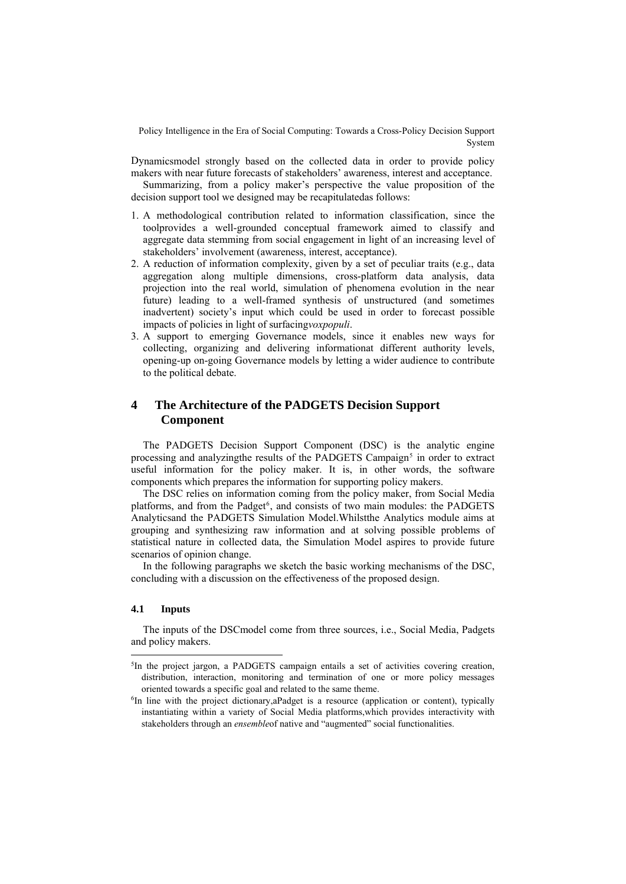Dy namicsmodel strongly based on the collected data in order to provide policy makers with near future forecasts of stakeholders' awareness, interest and acceptance.

Summarizing, from a policy maker's perspective the value proposition of the decision support tool we designed may be recapitulatedas follows:

- toolprovides a well-grounded conceptual framework aimed to classify and 1. A methodological contribution related to information classification, since the aggregate data stemming from social engagement in light of an increasing level of stakeholders' involvement (awareness, interest, acceptance).
- aggregation along multiple dimensions, cross-platform data analysis, data 2. A reduction of information complexity, given by a set of peculiar traits (e.g., data projection into the real world, simulation of phenomena evolution in the near future) leading to a well-framed synthesis of unstructured (and sometimes inadvertent) society's input which could be used in order to forecast possible impacts of policies in light of surfacing*voxpopuli*.
- collecting, organizing and delivering informationat different authority levels, 3. A support to emerging Governance models, since it enables new ways for opening-up on-going Governance models by letting a wider audience to contribute to the political debate.

# **PADGETS Decision Support 4 The Architecture of the Component**

The PADGETS Decision Support Component (DSC) is the analytic engine processing and analyzingthe results of the PADGETS Campaign<sup>5</sup> in order to extract us eful information for the policy maker. It is, in other words, the software components which prepares the information for supporting policy makers.

platforms, and from the Padget<sup>[6](#page-6-0)</sup>, and consists of two main modules: the PADGETS An alyticsand the PADGETS Simulation Model.Whilstthe Analytics module aims at The DSC relies on information coming from the policy maker, from Social Media grouping and synthesizing raw information and at solving possible problems of statistical nature in collected data, the Simulation Model aspires to provide future scenarios of opinion change.

concluding with a discussion on the effectiveness of the proposed design. In the following paragraphs we sketch the basic working mechanisms of the DSC,

### **4.1 Inputs**

l

The inputs of the DSCmodel come from three sources, i.e., Social Media, Padgets and policy makers.

<span id="page-6-0"></span><sup>&</sup>lt;sup>5</sup>In the project jargon, a PADGETS campaign entails a set of activities covering creation, distribution, interaction, monitoring and termination of one or more policy messages oriented towards a specific goal and related to the same theme.<br><sup>6</sup>In line with the project dictionary,aPadget is a resource (application or content), typically

instantiating within a variety of Social Media platforms,which provides interactivity with stakeholders through an *ensemble*of native and "augmented" social functionalities.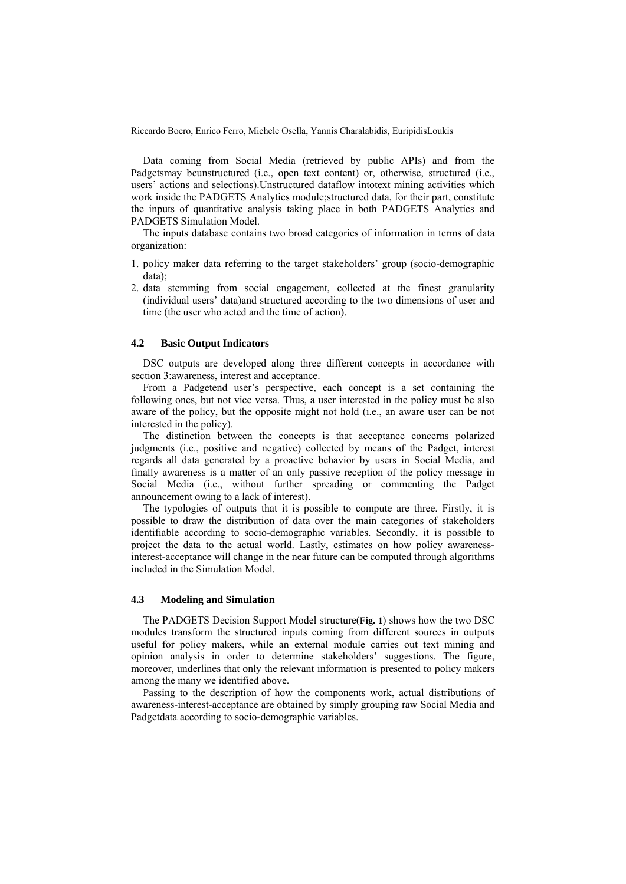Data coming from Social Media (retrieved by public APIs) and from the Pad getsmay beunstructured (i.e., open text content) or, otherwise, structured (i.e., users' actions and selections).Unstructured dataflow intotext mining activities which work inside the PADGETS Analytics module;structured data, for their part, constitute the inputs of quantitative analysis taking place in both PADGETS Analytics and PADGETS Simulation Model.

The inputs database contains two broad categories of information in terms of data organization:

- 1. policy maker data referring to the target stakeholders' group (socio-demographic data);
- 2. data stemming from social engagement, collected at the finest granularity (individual users' data)and structured according to the two dimensions of user and time (the user who acted and the time of action).

### **4.2 Basic Output Indicators**

DSC outputs are developed along three different concepts in accordance with section 3:awareness, interest and acceptance.

From a Padgetend user's perspective, each concept is a set containing the fol lowing ones, but not vice versa. Thus, a user interested in the policy must be also aware of the policy, but the opposite might not hold (i.e., an aware user can be not interested in the policy).

The distinction between the concepts is that acceptance concerns polarized judgments (i.e., positive and negative) collected by means of the Padget, interest regards all data generated by a proactive behavior by users in Social Media, and finally awareness is a matter of an only passive reception of the policy message in Social Media (i.e., without further spreading or commenting the Padget announcement owing to a lack of interest).

The typologies of outputs that it is possible to compute are three. Firstly, it is possible to draw the distribution of data over the main categories of stakeholders identifiable according to socio-demographic variables. Secondly, it is possible to project the data to the actual world. Lastly, estimates on how policy awarenessinterest-acceptance will change in the near future can be computed through algorithms included in the Simulation Model.

#### **4.3 Modeling and Simulation**

The PADGETS Decision Support Model structure(Fig. 1) shows how the two DSC modules transform the structured inputs coming from different sources in outputs useful for policy makers, while an external module carries out text mining and opi nion analysis in order to determine stakeholders' suggestions. The figure, moreover, underlines that only the relevant information is presented to policy makers among the many we identified above.

Padgetdata according to socio-demographic variables. Passing to the description of how the components work, actual distributions of awareness-interest-acceptance are obtained by simply grouping raw Social Media and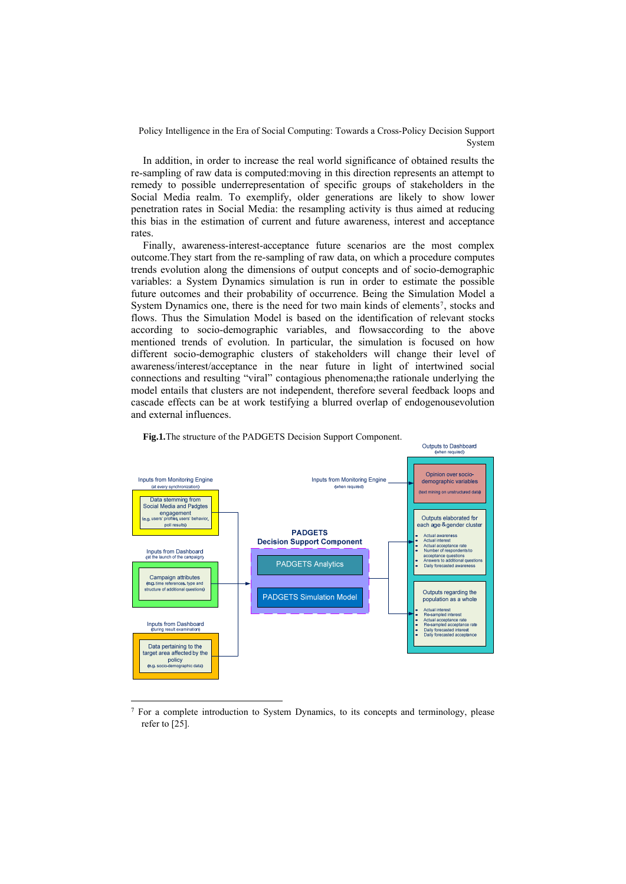In addition, in order to increase the real world significance of obtained results the re-sampling of raw data is computed:moving in this direction represents an attempt to rem edy to possible underrepresentation of specific groups of stakeholders in the penetration rates in Social Media: the resampling activity is thus aimed at reducing thi s bias in the estimation of current and future awareness, interest and acceptance Social Media realm. To exemplify, older generations are likely to show lower rates.

future outcomes and their probability of occurrence. Being the Simulation Model a System Dynamics one, there is the need for two main kinds of elements<sup>[7](#page-8-0)</sup>, stocks and Finally, awareness-interest-acceptance future scenarios are the most complex outcome.They start from the re-sampling of raw data, on which a procedure computes trends evolution along the dimensions of output concepts and of socio-demographic variables: a System Dynamics simulation is run in order to estimate the possible flows. Thus the Simulation Model is based on the identification of relevant stocks according to socio-demographic variables, and flowsaccording to the above mentioned trends of evolution. In particular, the simulation is focused on how different socio-demographic clusters of stakeholders will change their level of awareness/interest/acceptance in the near future in light of intertwined social connections and resulting "viral" contagious phenomena;the rationale underlying the model entails that clusters are not independent, therefore several feedback loops and cascade effects can be at work testifying a blurred overlap of endogenousevolution and external influences.



**Fig.1.**The structure of the PADGETS Decision Support Component.

l

<span id="page-8-0"></span><sup>7</sup> For a complete introduction to System Dynamics, to its concepts and terminology, please refer to [25].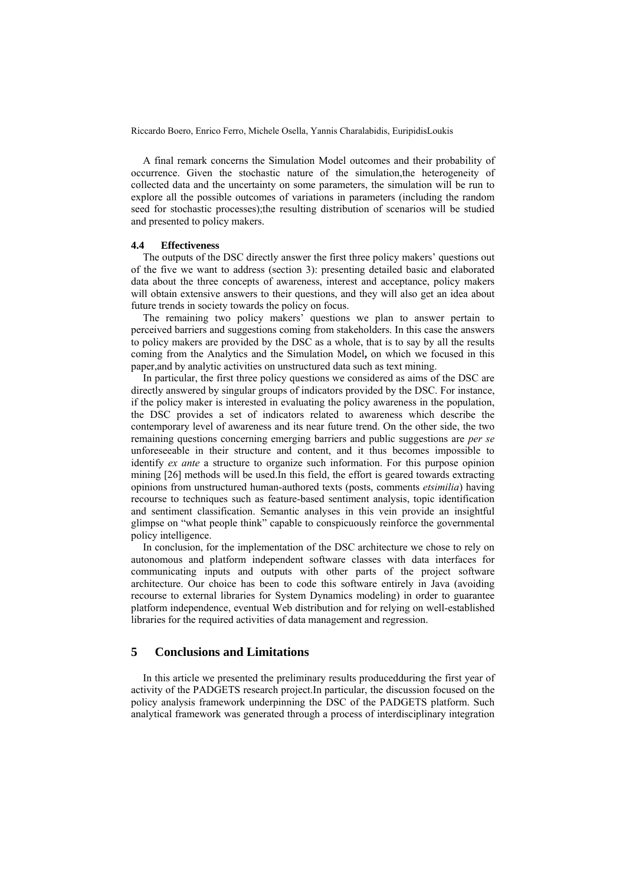A final remark concerns the Simulation Model outcomes and their probability of occurrence. Given the stochastic nature of the simulation,the heterogeneity of collected data and the uncertainty on some parameters, the simulation will be run to explore all the possible outcomes of variations in parameters (including the random seed for stochastic processes);the resulting distribution of scenarios will be studied and presented to policy makers.

#### **4.4 Effectiveness**

The outputs of the DSC directly answer the first three policy makers' questions out of the five we want to address (section 3): presenting detailed basic and elaborated data about the three concepts of awareness, interest and acceptance, policy makers will obtain extensive answers to their questions, and they will also get an idea about future trends in society towards the policy on focus.

The remaining two policy makers' questions we plan to answer pertain to perceived barriers and suggestions coming from stakeholders. In this case the answers to policy makers are provided by the DSC as a whole, that is to say by all the results coming from the Analytics and the Simulation Model**,** on which we focused in this paper,and by analytic activities on unstructured data such as text mining.

In particular, the first three policy questions we considered as aims of the DSC are directly answered by singular groups of indicators provided by the DSC. For instance, if th e policy maker is interested in evaluating the policy awareness in the population, mining [26] methods will be used. In this field, the effort is geared towards extracting opinions from unstructured human-authored texts (posts, comments *etsimilia*) having the DSC provides a set of indicators related to awareness which describe the contemporary level of awareness and its near future trend. On the other side, the two remaining questions concerning emerging barriers and public suggestions are *per se* unforeseeable in their structure and content, and it thus becomes impossible to identify *ex ante* a structure to organize such information. For this purpose opinion recourse to techniques such as feature-based sentiment analysis, topic identification and sentiment classification. Semantic analyses in this vein provide an insightful glimpse on "what people think" capable to conspicuously reinforce the governmental policy intelligence.

In conclusion, for the implementation of the DSC architecture we chose to rely on autonomous and platform independent software classes with data interfaces for communicating inputs and outputs with other parts of the project software architecture. Our choice has been to code this software entirely in Java (avoiding recourse to external libraries for System Dynamics modeling) in order to guarantee platform independence, eventual Web distribution and for relying on well-established libraries for the required activities of data management and regression.

# **5 Conclusions and Limitations**

In this article we presented the preliminary results producedduring the first year of activity of the PADGETS research project.In particular, the discussion focused on the policy analysis framework underpinning the DSC of the PADGETS platform. Such analytical framework was generated through a process of interdisciplinary integration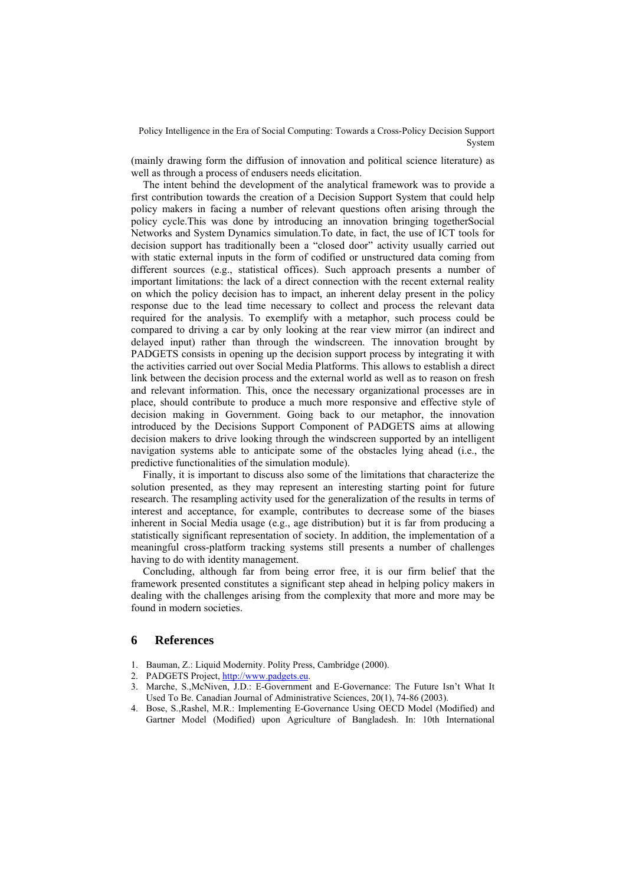(mainly drawing form the diffusion of innovation and political science literature) as well as through a process of endusers needs elicitation.

The intent behind the development of the analytical framework was to provide a first contribution towards the creation of a Decision Support System that could help policy makers in facing a number of relevant questions often arising through the policy cycle.This was done by introducing an innovation bringing togetherSocial Ne tworks and System Dynamics simulation.To date, in fact, the use of ICT tools for response due to the lead time necessary to collect and process the relevant data required for the analysis. To exemplify with a metaphor, such process could be compared to driving a car by only looking at the rear view mirror (an indirect and delayed input) rather than through the windscreen. The innovation brought by PA DGETS consists in opening up the decision support process by integrating it with the activities carried out over Social Media Platforms. This allows to establish a direct de cision makers to drive looking through the windscreen supported by an intelligent decision support has traditionally been a "closed door" activity usually carried out with static external inputs in the form of codified or unstructured data coming from different sources (e.g., statistical offices). Such approach presents a number of important limitations: the lack of a direct connection with the recent external reality on which the policy decision has to impact, an inherent delay present in the policy link between the decision process and the external world as well as to reason on fresh and relevant information. This, once the necessary organizational processes are in place, should contribute to produce a much more responsive and effective style of decision making in Government. Going back to our metaphor, the innovation introduced by the Decisions Support Component of PADGETS aims at allowing navigation systems able to anticipate some of the obstacles lying ahead (i.e., the predictive functionalities of the simulation module).

Finally, it is important to discuss also some of the limitations that characterize the solution presented, as they may represent an interesting starting point for future research. The resampling activity used for the generalization of the results in terms of interest and acceptance, for example, contributes to decrease some of the biases inherent in Social Media usage (e.g., age distribution) but it is far from producing a statistically significant representation of society. In addition, the implementation of a meaningful cross-platform tracking systems still presents a number of challenges having to do with identity management.

Concluding, although far from being error free, it is our firm belief that the framework presented constitutes a significant step ahead in helping policy makers in dealing with the challenges arising from the complexity that more and more may be found in modern societies.

# **6 References**

- 1. Bauman, Z.: Liquid Modernity. Polity Press, Cambridge (2000).
- <span id="page-10-1"></span><span id="page-10-0"></span>2. PADGETS Project, http://www.padgets.eu.
- <span id="page-10-2"></span>3. Marche, S.,McNiven, J.D.: E-Government and E-Governance: The Future Isn't What It Used To Be. Canadian Journal of Administrative Sciences, 20(1), 74-86 (2003).
- 4. Bose, S.,Rashel, M.R.: Implementing E-Governance Using OECD Model (Modified) and Gartner Model (Modified) upon Agriculture of Bangladesh. In: 10th International